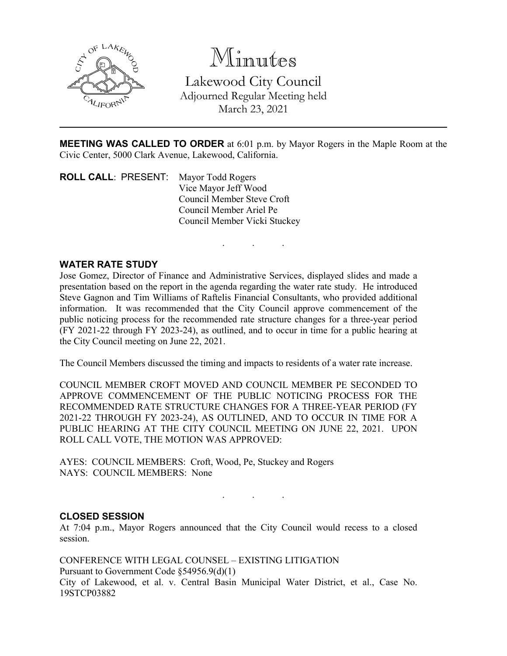

Minutes Lakewood City Council Adjourned Regular Meeting held March 23, 2021

**MEETING WAS CALLED TO ORDER** at 6:01 p.m. by Mayor Rogers in the Maple Room at the Civic Center, 5000 Clark Avenue, Lakewood, California.

. . .

**ROLL CALL**: PRESENT: Mayor Todd Rogers Vice Mayor Jeff Wood Council Member Steve Croft Council Member Ariel Pe Council Member Vicki Stuckey

# **WATER RATE STUDY**

Jose Gomez, Director of Finance and Administrative Services, displayed slides and made a presentation based on the report in the agenda regarding the water rate study. He introduced Steve Gagnon and Tim Williams of Raftelis Financial Consultants, who provided additional information. It was recommended that the City Council approve commencement of the public noticing process for the recommended rate structure changes for a three-year period (FY 2021-22 through FY 2023-24), as outlined, and to occur in time for a public hearing at the City Council meeting on June 22, 2021.

The Council Members discussed the timing and impacts to residents of a water rate increase.

COUNCIL MEMBER CROFT MOVED AND COUNCIL MEMBER PE SECONDED TO APPROVE COMMENCEMENT OF THE PUBLIC NOTICING PROCESS FOR THE RECOMMENDED RATE STRUCTURE CHANGES FOR A THREE-YEAR PERIOD (FY 2021-22 THROUGH FY 2023-24), AS OUTLINED, AND TO OCCUR IN TIME FOR A PUBLIC HEARING AT THE CITY COUNCIL MEETING ON JUNE 22, 2021. UPON ROLL CALL VOTE, THE MOTION WAS APPROVED:

AYES: COUNCIL MEMBERS: Croft, Wood, Pe, Stuckey and Rogers NAYS: COUNCIL MEMBERS: None

. . .

### **CLOSED SESSION**

At 7:04 p.m., Mayor Rogers announced that the City Council would recess to a closed session.

CONFERENCE WITH LEGAL COUNSEL – EXISTING LITIGATION Pursuant to Government Code §54956.9(d)(1) City of Lakewood, et al. v. Central Basin Municipal Water District, et al., Case No. 19STCP03882